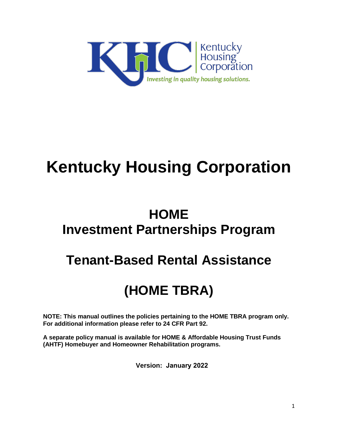

# **Kentucky Housing Corporation**

## **HOME Investment Partnerships Program**

## **Tenant-Based Rental Assistance**

## **(HOME TBRA)**

**NOTE: This manual outlines the policies pertaining to the HOME TBRA program only. For additional information please refer to 24 CFR Part 92.** 

**A separate policy manual is available for HOME & Affordable Housing Trust Funds (AHTF) Homebuyer and Homeowner Rehabilitation programs.** 

**Version: January 2022**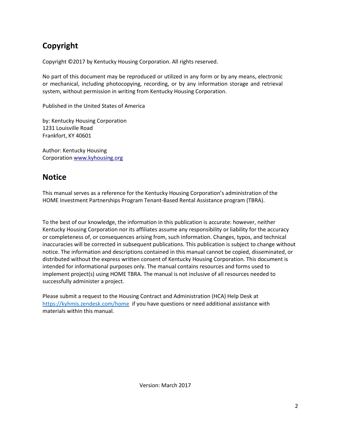## **Copyright**

Copyright ©2017 by Kentucky Housing Corporation. All rights reserved.

No part of this document may be reproduced or utilized in any form or by any means, electronic or mechanical, including photocopying, recording, or by any information storage and retrieval system, without permission in writing from Kentucky Housing Corporation.

Published in the United States of America

by: Kentucky Housing Corporation 1231 Louisville Road Frankfort, KY 40601

Author: Kentucky Housing Corporatio[n www.kyhousing.org](http://www.kyhousing.org/)

### **Notice**

This manual serves as a reference for the Kentucky Housing Corporation's administration of the HOME Investment Partnerships Program Tenant-Based Rental Assistance program (TBRA).

To the best of our knowledge, the information in this publication is accurate: however, neither Kentucky Housing Corporation nor its affiliates assume any responsibility or liability for the accuracy or completeness of, or consequences arising from, such information. Changes, typos, and technical inaccuracies will be corrected in subsequent publications. This publication is subject to change without notice. The information and descriptions contained in this manual cannot be copied, disseminated, or distributed without the express written consent of Kentucky Housing Corporation. This document is intended for informational purposes only. The manual contains resources and forms used to implement project(s) using HOME TBRA. The manual is not inclusive of all resources needed to successfully administer a project.

Please submit a request to the Housing Contract and Administration (HCA) Help Desk at <https://kyhmis.zendesk.com/home>if you have questions or need additional assistance with materials within this manual.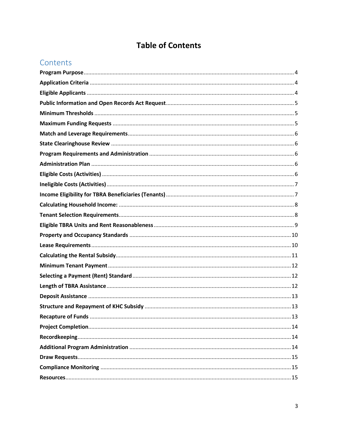## **Table of Contents**

### Contents

| 13 |
|----|
|    |
|    |
|    |
|    |
|    |
|    |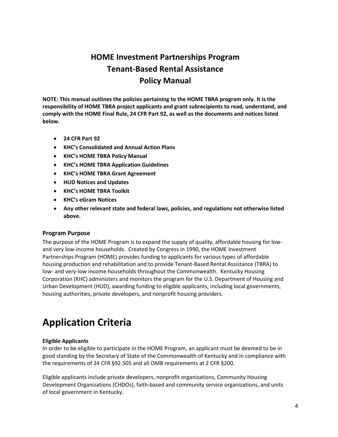### **HOME Investment Partnerships Program Tenant-Based Rental Assistance Policy Manual**

**NOTE: This manual outlines the policies pertaining to the HOME TBRA program only. It is the responsibility of HOME TBRA project applicants and grant subrecipients to read, understand, and comply with the HOME Final Rule, 24 CFR Part 92, as well as the documents and notices listed below.** 

- **24 CFR Part 92**
- **KHC's Consolidated and Annual Action Plans**
- **KHC's HOME TBRA Policy Manual**
- **KHC's HOME TBRA Application Guidelines**
- **KHC's HOME TBRA Grant Agreement**
- **HUD Notices and Updates**
- **KHC's HOME TBRA Toolkit**
- **KHC's eGram Notices**
- **Any other relevant state and federal laws, policies, and regulations not otherwise listed above.**

#### <span id="page-3-0"></span>**Program Purpose**

The purpose of the HOME Program is to expand the supply of quality, affordable housing for lowand very low-income households. Created by Congress in 1990, the HOME Investment Partnerships Program (HOME) provides funding to applicants for various types of affordable housing production and rehabilitation and to provide Tenant-Based Rental Assistance (TBRA) to low- and very-low income households throughout the Commonwealth. Kentucky Housing Corporation (KHC) administers and monitors the program for the U.S. Department of Housing and Urban Development (HUD), awarding funding to eligible applicants, including local governments, housing authorities, private developers, and nonprofit housing providers.

## <span id="page-3-1"></span>**Application Criteria**

#### <span id="page-3-2"></span>**Eligible Applicants**

In order to be eligible to participate in the HOME Program, an applicant must be deemed to be in good standing by the Secretary of State of the Commonwealth of Kentucky and in compliance with the requirements of 24 CFR §92.505 and all OMB requirements at 2 CFR §200.

Eligible applicants include private developers, nonprofit organizations, Community Housing Development Organizations (CHDOs), faith-based and community service organizations, and units of local government in Kentucky.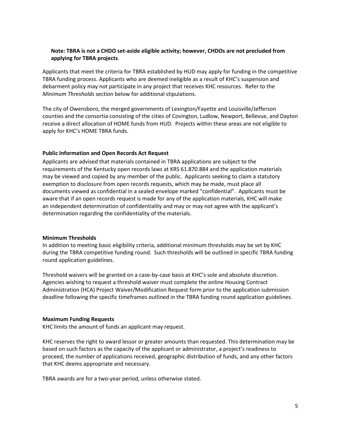#### **Note: TBRA is not a CHDO set-aside eligible activity; however, CHDOs are not precluded from applying for TBRA projects**.

Applicants that meet the criteria for TBRA established by HUD may apply for funding in the competitive TBRA funding process. Applicants who are deemed ineligible as a result of KHC's suspension and debarment policy may not participate in any project that receives KHC resources. Refer to the *Minimum Thresholds* section below for additional stipulations.

The city of Owensboro, the merged governments of Lexington/Fayette and Louisville/Jefferson counties and the consortia consisting of the cities of Covington, Ludlow, Newport, Bellevue, and Dayton receive a direct allocation of HOME funds from HUD. Projects within these areas are not eligible to apply for KHC's HOME TBRA funds.

#### <span id="page-4-0"></span>**Public Information and Open Records Act Request**

Applicants are advised that materials contained in TBRA applications are subject to the requirements of the Kentucky open records laws at KRS 61.870.884 and the application materials may be viewed and copied by any member of the public. Applicants seeking to claim a statutory exemption to disclosure from open records requests, which may be made, must place all documents viewed as confidential in a sealed envelope marked "confidential". Applicants must be aware that if an open records request is made for any of the application materials, KHC will make an independent determination of confidentiality and may or may not agree with the applicant's determination regarding the confidentiality of the materials.

#### <span id="page-4-1"></span>**Minimum Thresholds**

In addition to meeting basic eligibility criteria, additional minimum thresholds may be set by KHC during the TBRA competitive funding round. Such thresholds will be outlined in specific TBRA funding round application guidelines.

Threshold waivers will be granted on a case-by-case basis at KHC's sole and absolute discretion. Agencies wishing to request a threshold waiver must complete the online Housing Contract Administration (HCA) Project Waiver/Modification Request form prior to the application submission deadline following the specific timeframes outlined in the TBRA funding round application guidelines.

#### <span id="page-4-2"></span>**Maximum Funding Requests**

KHC limits the amount of funds an applicant may request.

KHC reserves the right to award lessor or greater amounts than requested. This determination may be based on such factors as the capacity of the applicant or administrator, a project's readiness to proceed, the number of applications received, geographic distribution of funds, and any other factors that KHC deems appropriate and necessary.

TBRA awards are for a two-year period, unless otherwise stated.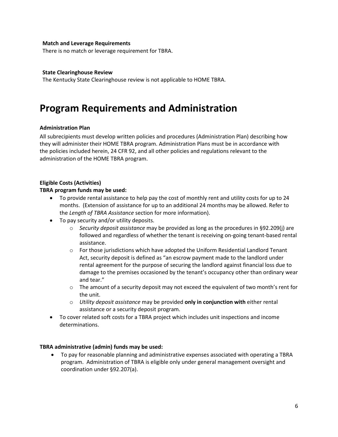#### <span id="page-5-0"></span>**Match and Leverage Requirements**

<span id="page-5-1"></span>There is no match or leverage requirement for TBRA.

#### **State Clearinghouse Review**

The Kentucky State Clearinghouse review is not applicable to HOME TBRA.

## <span id="page-5-2"></span>**Program Requirements and Administration**

#### <span id="page-5-3"></span>**Administration Plan**

All subrecipients must develop written policies and procedures (Administration Plan) describing how they will administer their HOME TBRA program. Administration Plans must be in accordance with the policies included herein, 24 CFR 92, and all other policies and regulations relevant to the administration of the HOME TBRA program.

#### <span id="page-5-4"></span>**Eligible Costs (Activities)**

#### **TBRA program funds may be used:**

- To provide rental assistance to help pay the cost of monthly rent and utility costs for up to 24 months. (Extension of assistance for up to an additional 24 months may be allowed. Refer to the *Length of TBRA Assistance* section for more information).
- To pay security and/or utility deposits.
	- o *Security deposit assistance* may be provided as long as the procedures in §92.209(j) are followed and regardless of whether the tenant is receiving on-going tenant-based rental assistance.
	- $\circ$  For those jurisdictions which have adopted the Uniform Residential Landlord Tenant Act, security deposit is defined as "an escrow payment made to the landlord under rental agreement for the purpose of securing the landlord against financial loss due to damage to the premises occasioned by the tenant's occupancy other than ordinary wear and tear."
	- $\circ$  The amount of a security deposit may not exceed the equivalent of two month's rent for the unit.
	- o *Utility deposit assistance* may be provided **only in conjunction with** either rental assistance or a security deposit program.
- To cover related soft costs for a TBRA project which includes unit inspections and income determinations.

#### **TBRA administrative (admin) funds may be used:**

 To pay for reasonable planning and administrative expenses associated with operating a TBRA program. Administration of TBRA is eligible only under general management oversight and coordination under §92.207(a).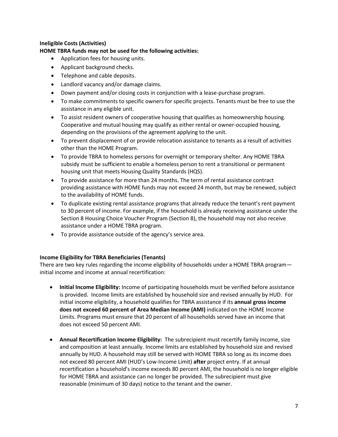#### <span id="page-6-0"></span>**Ineligible Costs (Activities)**

**HOME TBRA funds may not be used for the following activities:** 

- Application fees for housing units.
- Applicant background checks.
- Telephone and cable deposits.
- Landlord vacancy and/or damage claims.
- Down payment and/or closing costs in conjunction with a lease-purchase program.
- To make commitments to specific owners for specific projects. Tenants must be free to use the assistance in any eligible unit.
- To assist resident owners of cooperative housing that qualifies as homeownership housing. Cooperative and mutual housing may qualify as either rental or owner-occupied housing, depending on the provisions of the agreement applying to the unit.
- To prevent displacement of or provide relocation assistance to tenants as a result of activities other than the HOME Program.
- To provide TBRA to homeless persons for overnight or temporary shelter. Any HOME TBRA subsidy must be sufficient to enable a homeless person to rent a transitional or permanent housing unit that meets Housing Quality Standards (HQS).
- To provide assistance for more than 24 months. The term of rental assistance contract providing assistance with HOME funds may not exceed 24 month, but may be renewed, subject to the availability of HOME funds.
- To duplicate existing rental assistance programs that already reduce the tenant's rent payment to 30 percent of income. For example, if the household is already receiving assistance under the Section 8 Housing Choice Voucher Program (Section 8), the household may not also receive assistance under a HOME TBRA program.
- To provide assistance outside of the agency's service area.

#### <span id="page-6-1"></span>**Income Eligibility for TBRA Beneficiaries (Tenants)**

There are two key rules regarding the income eligibility of households under a HOME TBRA program initial income and income at annual recertification:

- **Initial Income Eligibility:** Income of participating households must be verified before assistance is provided. Income limits are established by household size and revised annually by HUD. For initial income eligibility, a household qualifies for TBRA assistance if its **annual gross income does not exceed 60 percent of Area Median Income (AMI)** indicated on the HOME Income Limits. Programs must ensure that 20 percent of all households served have an income that does not exceed 50 percent AMI.
- **Annual Recertification Income Eligibility:** The subrecipient must recertify family income, size and composition at least annually. Income limits are established by household size and revised annually by HUD. A household may still be served with HOME TBRA so long as its income does not exceed 80 percent AMI (HUD's Low-Income Limit) **after** project entry. If at annual recertification a household's income exceeds 80 percent AMI, the household is no longer eligible for HOME TBRA and assistance can no longer be provided. The subrecipient must give reasonable (minimum of 30 days) notice to the tenant and the owner.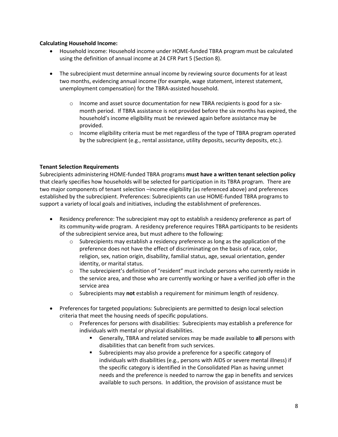#### <span id="page-7-0"></span>**Calculating Household Income:**

- Household income: Household income under HOME-funded TBRA program must be calculated using the definition of annual income at 24 CFR Part 5 (Section 8).
- The subrecipient must determine annual income by reviewing source documents for at least two months, evidencing annual income (for example, wage statement, interest statement, unemployment compensation) for the TBRA-assisted household.
	- $\circ$  Income and asset source documentation for new TBRA recipients is good for a sixmonth period. If TBRA assistance is not provided before the six months has expired, the household's income eligibility must be reviewed again before assistance may be provided.
	- $\circ$  Income eligibility criteria must be met regardless of the type of TBRA program operated by the subrecipient (e.g., rental assistance, utility deposits, security deposits, etc.).

#### <span id="page-7-1"></span>**Tenant Selection Requirements**

Subrecipients administering HOME-funded TBRA programs **must have a written tenant selection policy** that clearly specifies how households will be selected for participation in its TBRA program. There are two major components of tenant selection –income eligibility (as referenced above) and preferences established by the subrecipient. Preferences: Subrecipients can use HOME-funded TBRA programs to support a variety of local goals and initiatives, including the establishment of preferences.

- Residency preference: The subrecipient may opt to establish a residency preference as part of its community-wide program. A residency preference requires TBRA participants to be residents of the subrecipient service area, but must adhere to the following:
	- $\circ$  Subrecipients may establish a residency preference as long as the application of the preference does not have the effect of discriminating on the basis of race, color, religion, sex, nation origin, disability, familial status, age, sexual orientation, gender identity, or marital status.
	- $\circ$  The subrecipient's definition of "resident" must include persons who currently reside in the service area, and those who are currently working or have a verified job offer in the service area
	- o Subrecipients may **not** establish a requirement for minimum length of residency.
- Preferences for targeted populations: Subrecipients are permitted to design local selection criteria that meet the housing needs of specific populations.
	- o Preferences for persons with disabilities: Subrecipients may establish a preference for individuals with mental or physical disabilities.
		- Generally, TBRA and related services may be made available to **all** persons with disabilities that can benefit from such services.
		- Subrecipients may also provide a preference for a specific category of individuals with disabilities (e.g., persons with AIDS or severe mental illness) if the specific category is identified in the Consolidated Plan as having unmet needs and the preference is needed to narrow the gap in benefits and services available to such persons. In addition, the provision of assistance must be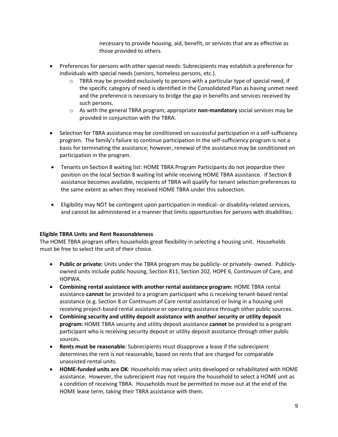necessary to provide housing, aid, benefit, or services that are as effective as those provided to others.

- Preferences for persons with other special needs: Subrecipients may establish a preference for individuals with special needs (seniors, homeless persons, etc.).
	- $\circ$  TBRA may be provided exclusively to persons with a particular type of special need, if the specific category of need is identified in the Consolidated Plan as having unmet need and the preference is necessary to bridge the gap in benefits and services received by such persons.
	- o As with the general TBRA program, appropriate **non-mandatory** social services may be provided in conjunction with the TBRA.
- Selection for TBRA assistance may be conditioned on successful participation in a self-sufficiency program. The family's failure to continue participation in the self-sufficiency program is not a basis for terminating the assistance; however, renewal of the assistance may be conditioned on participation in the program.
- Tenants on Section 8 waiting list: HOME TBRA Program Participants do not jeopardize their position on the local Section 8 waiting list while receiving HOME TBRA assistance. If Section 8 assistance becomes available, recipients of TBRA will qualify for tenant selection preferences to the same extent as when they received HOME TBRA under this subsection.
- Eligibility may NOT be contingent upon participation in medical- or disability-related services, and cannot be administered in a manner that limits opportunities for persons with disabilities.

#### <span id="page-8-0"></span>**Eligible TBRA Units and Rent Reasonableness**

The HOME TBRA program offers households great flexibility in selecting a housing unit. Households must be free to select the unit of their choice.

- **Public or private:** Units under the TBRA program may be publicly- or privately- owned. Publiclyowned units include public housing, Section 811, Section 202, HOPE 6, Continuum of Care, and HOPWA.
- **Combining rental assistance with another rental assistance program:** HOME TBRA rental assistance **cannot** be provided to a program participant who is receiving tenant-based rental assistance (e.g. Section 8 or Continuum of Care rental assistance) or living in a housing unit receiving project-based rental assistance or operating assistance through other public sources.
- **Combining security and utility deposit assistance with another security or utility deposit program:** HOME TBRA security and utility deposit assistance **cannot** be provided to a program participant who is receiving security deposit or utility deposit assistance through other public sources.
- **Rents must be reasonable**: Subrecipients must disapprove a lease if the subrecipient determines the rent is not reasonable, based on rents that are charged for comparable unassisted rental units.
- **HOME-funded units are OK**: Households may select units developed or rehabilitated with HOME assistance. However, the subrecipient may not require the household to select a HOME unit as a condition of receiving TBRA. Households must be permitted to move out at the end of the HOME lease term, taking their TBRA assistance with them.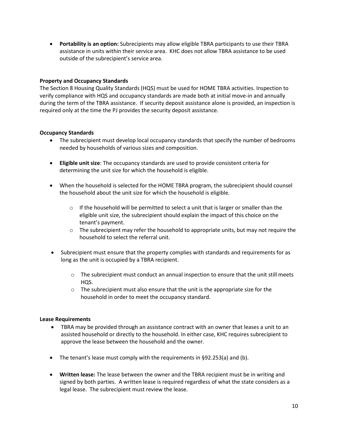**Portability is an option:** Subrecipients may allow eligible TBRA participants to use their TBRA assistance in units within their service area. KHC does not allow TBRA assistance to be used outside of the subrecipient's service area.

#### <span id="page-9-0"></span>**Property and Occupancy Standards**

The Section 8 Housing Quality Standards (HQS) must be used for HOME TBRA activities. Inspection to verify compliance with HQS and occupancy standards are made both at initial move-in and annually during the term of the TBRA assistance. If security deposit assistance alone is provided, an inspection is required only at the time the PJ provides the security deposit assistance.

#### **Occupancy Standards**

- The subrecipient must develop local occupancy standards that specify the number of bedrooms needed by households of various sizes and composition.
- **Eligible unit size**: The occupancy standards are used to provide consistent criteria for determining the unit size for which the household is eligible.
- When the household is selected for the HOME TBRA program, the subrecipient should counsel the household about the unit size for which the household is eligible.
	- $\circ$  If the household will be permitted to select a unit that is larger or smaller than the eligible unit size, the subrecipient should explain the impact of this choice on the tenant's payment.
	- $\circ$  The subrecipient may refer the household to appropriate units, but may not require the household to select the referral unit.
- Subrecipient must ensure that the property complies with standards and requirements for as long as the unit is occupied by a TBRA recipient.
	- $\circ$  The subrecipient must conduct an annual inspection to ensure that the unit still meets HQS.
	- $\circ$  The subrecipient must also ensure that the unit is the appropriate size for the household in order to meet the occupancy standard.

#### <span id="page-9-1"></span>**Lease Requirements**

- TBRA may be provided through an assistance contract with an owner that leases a unit to an assisted household or directly to the household. In either case, KHC requires subrecipient to approve the lease between the household and the owner.
- The tenant's lease must comply with the requirements in §92.253(a) and (b).
- **Written lease:** The lease between the owner and the TBRA recipient must be in writing and signed by both parties. A written lease is required regardless of what the state considers as a legal lease. The subrecipient must review the lease.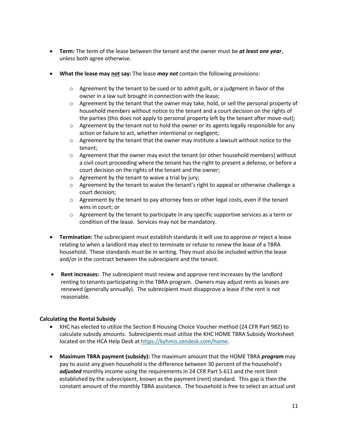- **Term:** The term of the lease between the tenant and the owner must be *at least one year*, unless both agree otherwise.
- **What the lease may not say:** The lease *may not* contain the following provisions:
	- $\circ$  Agreement by the tenant to be sued or to admit guilt, or a judgment in favor of the owner in a law suit brought in connection with the lease;
	- $\circ$  Agreement by the tenant that the owner may take, hold, or sell the personal property of household members without notice to the tenant and a court decision on the rights of the parties (this does not apply to personal property left by the tenant after move-out);
	- $\circ$  Agreement by the tenant not to hold the owner or its agents legally responsible for any action or failure to act, whether intentional or negligent;
	- $\circ$  Agreement by the tenant that the owner may institute a lawsuit without notice to the tenant;
	- $\circ$  Agreement that the owner may evict the tenant (or other household members) without a civil court proceeding where the tenant has the right to present a defense, or before a court decision on the rights of the tenant and the owner;
	- $\circ$  Agreement by the tenant to waive a trial by jury;
	- $\circ$  Agreement by the tenant to waive the tenant's right to appeal or otherwise challenge a court decision;
	- $\circ$  Agreement by the tenant to pay attorney fees or other legal costs, even if the tenant wins in court; or
	- $\circ$  Agreement by the tenant to participate in any specific supportive services as a term or condition of the lease. Services may not be mandatory.
- **Termination:** The subrecipient must establish standards it will use to approve or reject a lease relating to when a landlord may elect to terminate or refuse to renew the lease of a TBRA household. These standards must be in writing. They must also be included within the lease and/or in the contract between the subrecipient and the tenant.
- **Rent increases:** The subrecipient must review and approve rent increases by the landlord renting to tenants participating in the TBRA program. Owners may adjust rents as leases are renewed (generally annually). The subrecipient must disapprove a lease if the rent is not reasonable.

#### <span id="page-10-0"></span>**Calculating the Rental Subsidy**

- KHC has elected to utilize the Section 8 Housing Choice Voucher method (24 CFR Part 982) to calculate subsidy amounts. Subrecipients must utilize the KHC HOME TBRA Subsidy Worksheet located on the HCA Help Desk at [https://kyhmis.zendesk.com/home.](https://kyhmis.zendesk.com/home)
- **Maximum TBRA payment (subsidy):** The maximum amount that the HOME TBRA *program* may pay to assist any given household is the difference between 30 percent of the household's *adjusted* monthly income using the requirements in 24 CFR Part 5.611 and the rent limit established by the subrecipient, known as the payment (rent) standard. This gap is then the constant amount of the monthly TBRA assistance. The household is free to select an actual unit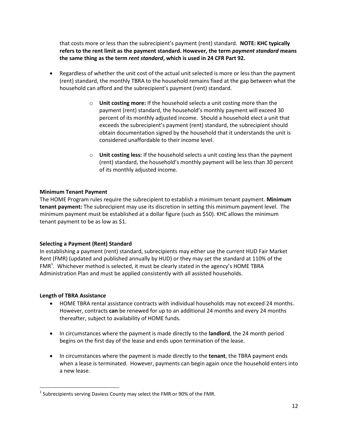that costs more or less than the subrecipient's payment (rent) standard. **NOTE: KHC typically refers to the rent limit as the payment standard. However, the term** *payment standard* **means the same thing as the term** *rent standard***, which is used in 24 CFR Part 92.** 

- Regardless of whether the unit cost of the actual unit selected is more or less than the payment (rent) standard, the monthly TBRA to the household remains fixed at the gap between what the household can afford and the subrecipient's payment (rent) standard.
	- o **Unit costing more:** If the household selects a unit costing more than the payment (rent) standard, the household's monthly payment will exceed 30 percent of its monthly adjusted income. Should a household elect a unit that exceeds the subrecipient's payment (rent) standard, the subrecipient should obtain documentation signed by the household that it understands the unit is considered unaffordable to their income level.
	- o **Unit costing less:** If the household selects a unit costing less than the payment (rent) standard, the household's monthly payment will be less than 30 percent of its monthly adjusted income.

#### <span id="page-11-0"></span>**Minimum Tenant Payment**

The HOME Program rules require the subrecipient to establish a minimum tenant payment. **Minimum tenant payment:** The subrecipient may use its discretion in setting this minimum payment level. The minimum payment must be established at a dollar figure (such as \$50). KHC allows the minimum tenant payment to be as low as \$1.

#### <span id="page-11-1"></span>**Selecting a Payment (Rent) Standard**

In establishing a payment (rent) standard, subrecipients may either use the current HUD Fair Market Rent (FMR) (updated and published annually by HUD) or they may set the standard at 110% of the FMR<sup>1</sup>. Whichever method is selected, it must be clearly stated in the agency's HOME TBRA Administration Plan and must be applied consistently with all assisted households.

#### <span id="page-11-2"></span>**Length of TBRA Assistance**

- HOME TBRA rental assistance contracts with individual households may not exceed 24 months. However, contracts **can** be renewed for up to an additional 24 months and every 24 months thereafter, subject to availability of HOME funds.
- In circumstances where the payment is made directly to the **landlord**, the 24 month period begins on the first day of the lease and ends upon termination of the lease.
- In circumstances where the payment is made directly to the **tenant**, the TBRA payment ends when a lease is terminated. However, payments can begin again once the household enters into a new lease.

<sup>&</sup>lt;sup>1</sup> Subrecipients serving Daviess County may select the FMR or 90% of the FMR.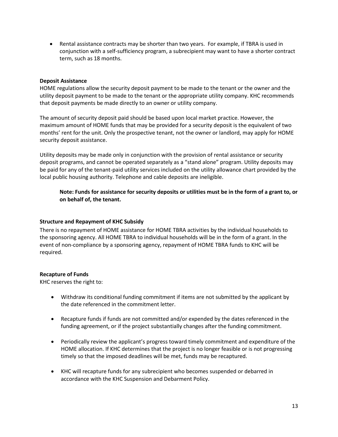• Rental assistance contracts may be shorter than two years. For example, if TBRA is used in conjunction with a self-sufficiency program, a subrecipient may want to have a shorter contract term, such as 18 months.

#### <span id="page-12-0"></span>**Deposit Assistance**

HOME regulations allow the security deposit payment to be made to the tenant or the owner and the utility deposit payment to be made to the tenant or the appropriate utility company. KHC recommends that deposit payments be made directly to an owner or utility company.

The amount of security deposit paid should be based upon local market practice. However, the maximum amount of HOME funds that may be provided for a security deposit is the equivalent of two months' rent for the unit. Only the prospective tenant, not the owner or landlord, may apply for HOME security deposit assistance.

Utility deposits may be made only in conjunction with the provision of rental assistance or security deposit programs, and cannot be operated separately as a "stand alone" program. Utility deposits may be paid for any of the tenant-paid utility services included on the utility allowance chart provided by the local public housing authority. Telephone and cable deposits are ineligible.

**Note: Funds for assistance for security deposits or utilities must be in the form of a grant to, or on behalf of, the tenant.**

#### <span id="page-12-1"></span>**Structure and Repayment of KHC Subsidy**

There is no repayment of HOME assistance for HOME TBRA activities by the individual households to the sponsoring agency. All HOME TBRA to individual households will be in the form of a grant. In the event of non-compliance by a sponsoring agency, repayment of HOME TBRA funds to KHC will be required.

#### <span id="page-12-2"></span>**Recapture of Funds**

KHC reserves the right to:

- Withdraw its conditional funding commitment if items are not submitted by the applicant by the date referenced in the commitment letter.
- Recapture funds if funds are not committed and/or expended by the dates referenced in the funding agreement, or if the project substantially changes after the funding commitment.
- Periodically review the applicant's progress toward timely commitment and expenditure of the HOME allocation. If KHC determines that the project is no longer feasible or is not progressing timely so that the imposed deadlines will be met, funds may be recaptured.
- KHC will recapture funds for any subrecipient who becomes suspended or debarred in accordance with the KHC Suspension and Debarment Policy.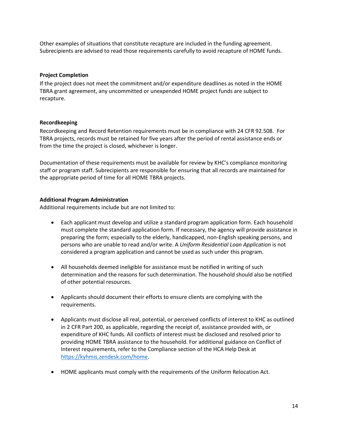Other examples of situations that constitute recapture are included in the funding agreement. Subrecipients are advised to read those requirements carefully to avoid recapture of HOME funds.

#### <span id="page-13-0"></span>**Project Completion**

If the project does not meet the commitment and/or expenditure deadlines as noted in the HOME TBRA grant agreement, any uncommitted or unexpended HOME project funds are subject to recapture.

#### <span id="page-13-1"></span>**Recordkeeping**

Recordkeeping and Record Retention requirements must be in compliance with 24 CFR 92.508. For TBRA projects, records must be retained for five years after the period of rental assistance ends or from the time the project is closed, whichever is longer.

Documentation of these requirements must be available for review by KHC's compliance monitoring staff or program staff. Subrecipients are responsible for ensuring that all records are maintained for the appropriate period of time for all HOME TBRA projects.

#### <span id="page-13-2"></span>**Additional Program Administration**

Additional requirements include but are not limited to:

- Each applicant must develop and utilize a standard program application form. Each household must complete the standard application form. If necessary, the agency will provide assistance in preparing the form; especially to the elderly, handicapped, non-English speaking persons, and persons who are unable to read and/or write. A *Uniform Residential Loan Application* is not considered a program application and cannot be used as such under this program.
- All households deemed ineligible for assistance must be notified in writing of such determination and the reasons for such determination. The household should also be notified of other potential resources.
- Applicants should document their efforts to ensure clients are complying with the requirements.
- Applicants must disclose all real, potential, or perceived conflicts of interest to KHC as outlined in 2 CFR Part 200, as applicable, regarding the receipt of, assistance provided with, or expenditure of KHC funds. All conflicts of interest must be disclosed and resolved prior to providing HOME TBRA assistance to the household. For additional guidance on Conflict of Interest requirements, refer to the Compliance section of the HCA Help Desk at [https://kyhmis.zendesk.com/home.](https://kyhmis.zendesk.com/home)
- HOME applicants must comply with the requirements of the Uniform Relocation Act.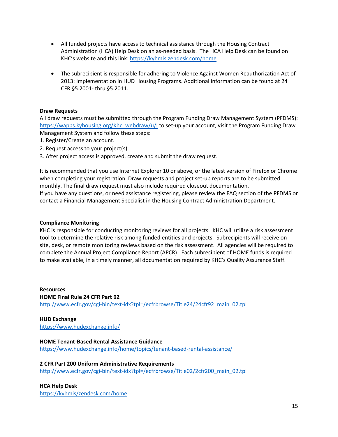- All funded projects have access to technical assistance through the Housing Contract Administration (HCA) Help Desk on an as-needed basis. The HCA Help Desk can be found on KHC's website and this link:<https://kyhmis.zendesk.com/home>
- The subrecipient is responsible for adhering to Violence Against Women Reauthorization Act of 2013: Implementation in HUD Housing Programs. Additional information can be found at 24 CFR §5.2001- thru §5.2011.

#### <span id="page-14-0"></span>**Draw Requests**

All draw requests must be submitted through the Program Funding Draw Management System (PFDMS): [https://wapps.kyhousing.org/Khc\\_webdraw/u/l](https://wapps.kyhousing.org/Khc_webdraw/u/l) to set-up your account, visit the Program Funding Draw Management System and follow these steps:

- 1. Register/Create an account.
- 2. Request access to your project(s).
- 3. After project access is approved, create and submit the draw request.

It is recommended that you use Internet Explorer 10 or above, or the latest version of Firefox or Chrome when completing your registration. Draw requests and project set-up reports are to be submitted monthly. The final draw request must also include required closeout documentation. If you have any questions, or need assistance registering, please review the FAQ section of the PFDMS or contact a Financial Management Specialist in the Housing Contract Administration Department.

#### <span id="page-14-1"></span>**Compliance Monitoring**

KHC is responsible for conducting monitoring reviews for all projects. KHC will utilize a risk assessment tool to determine the relative risk among funded entities and projects. Subrecipients will receive onsite, desk, or remote monitoring reviews based on the risk assessment. All agencies will be required to complete the Annual Project Compliance Report (APCR). Each subrecipient of HOME funds is required to make available, in a timely manner, all documentation required by KHC's Quality Assurance Staff.

<span id="page-14-2"></span>**Resources HOME Final Rule 24 CFR Part 92** [http://www.ecfr.gov/cgi-bin/text-idx?tpl=/ecfrbrowse/Title24/24cfr92\\_main\\_02.tpl](http://www.ecfr.gov/cgi-bin/text-idx?tpl=/ecfrbrowse/Title24/24cfr92_main_02.tpl)

#### **HUD Exchange**

<https://www.hudexchange.info/>

#### **HOME Tenant-Based Rental Assistance Guidance** <https://www.hudexchange.info/home/topics/tenant-based-rental-assistance/>

**2 CFR Part 200 Uniform Administrative Requirements**

[http://www.ecfr.gov/cgi-bin/text-idx?tpl=/ecfrbrowse/Title02/2cfr200\\_main\\_02.tpl](http://www.ecfr.gov/cgi-bin/text-idx?tpl=/ecfrbrowse/Title02/2cfr200_main_02.tpl)

#### **HCA Help Desk**

<https://kyhmis/zendesk.com/home>